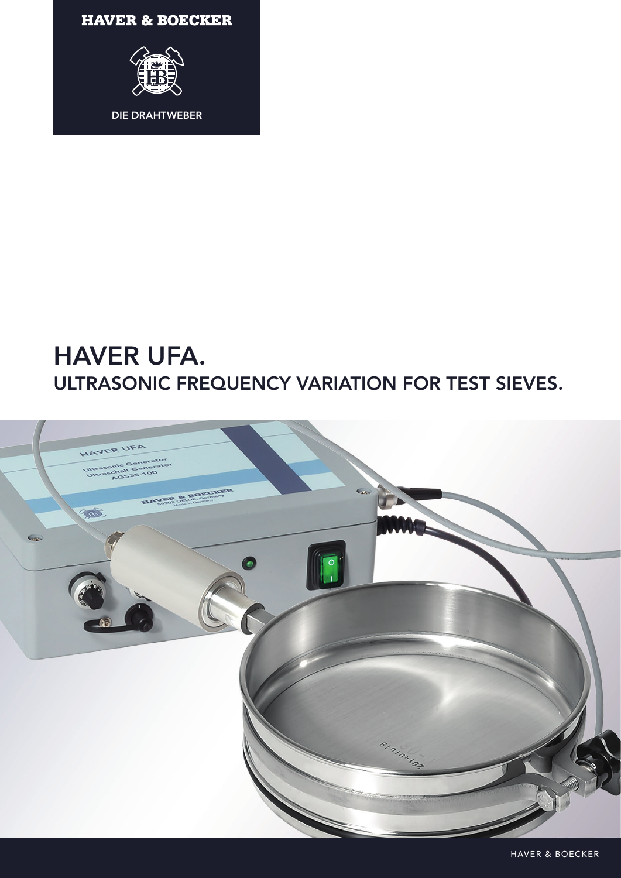**HAVER & BOECKER** 



# HAVER UFA. ULTRASONIC FREQUENCY VARIATION FOR TEST SIEVES.



HAVER & BOECKER